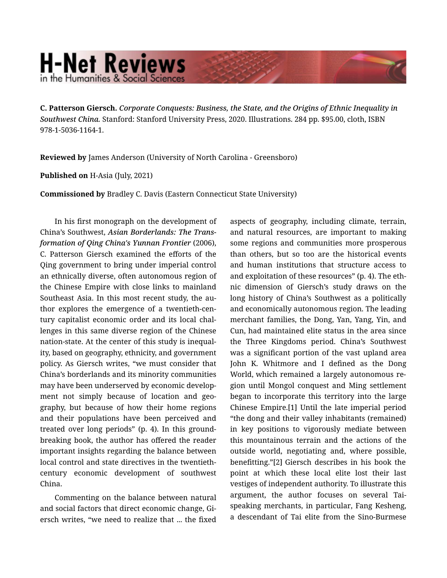## **H-Net Reviews** in the Humanities & Social Scienc

C. Patterson Giersch. *Corporate Conquests: Business, the State, and the Origins of Ethnic Inequality in Southwest China.* Stanford: Stanford University Press, 2020. Illustrations. 284 pp. \$95.00, cloth, ISBN 978-1-5036-1164-1.

Reviewed by James Anderson (University of North Carolina - Greensboro)

## Published on H-Asia (July, 2021)

Commissioned by Bradley C. Davis (Eastern Connecticut State University)

In his first monograph on the development of China's Southwest, *Asian Borderlands: The Trans‐ formation of Qing China's Yunnan Frontier* (2006), C. Patterson Giersch examined the efforts of the Qing government to bring under imperial control an ethnically diverse, often autonomous region of the Chinese Empire with close links to mainland Southeast Asia. In this most recent study, the au‐ thor explores the emergence of a twentieth-cen‐ tury capitalist economic order and its local chal‐ lenges in this same diverse region of the Chinese nation-state. At the center of this study is inequal‐ ity, based on geography, ethnicity, and government policy. As Giersch writes, "we must consider that China's borderlands and its minority communities may have been underserved by economic develop‐ ment not simply because of location and geography, but because of how their home regions and their populations have been perceived and treated over long periods" (p. 4). In this groundbreaking book, the author has offered the reader important insights regarding the balance between local control and state directives in the twentiethcentury economic development of southwest China.

Commenting on the balance between natural and social factors that direct economic change, Gi‐ ersch writes, "we need to realize that ... the fixed

aspects of geography, including climate, terrain, and natural resources, are important to making some regions and communities more prosperous than others, but so too are the historical events and human institutions that structure access to and exploitation of these resources" (p. 4). The eth‐ nic dimension of Giersch's study draws on the long history of China's Southwest as a politically and economically autonomous region. The leading merchant families, the Dong, Yan, Yang, Yin, and Cun, had maintained elite status in the area since the Three Kingdoms period. China's Southwest was a significant portion of the vast upland area John K. Whitmore and I defined as the Dong World, which remained a largely autonomous re‐ gion until Mongol conquest and Ming settlement began to incorporate this territory into the large Chinese Empire.[1] Until the late imperial period "the dong and their valley inhabitants (remained) in key positions to vigorously mediate between this mountainous terrain and the actions of the outside world, negotiating and, where possible, benefitting."[2] Giersch describes in his book the point at which these local elite lost their last vestiges of independent authority. To illustrate this argument, the author focuses on several Taispeaking merchants, in particular, Fang Kesheng, a descendant of Tai elite from the Sino-Burmese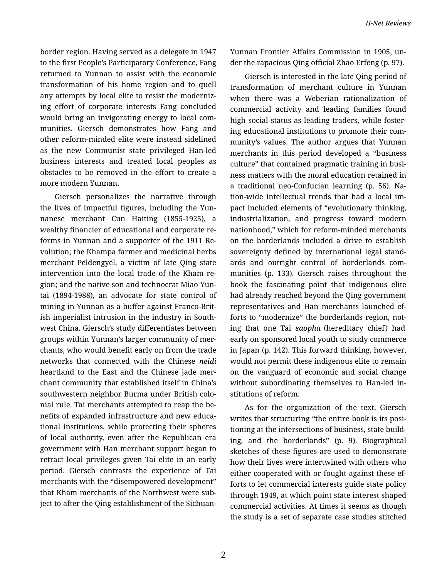border region. Having served as a delegate in 1947 to the first People's Participatory Conference, Fang returned to Yunnan to assist with the economic transformation of his home region and to quell any attempts by local elite to resist the moderniz‐ ing effort of corporate interests Fang concluded would bring an invigorating energy to local com‐ munities. Giersch demonstrates how Fang and other reform-minded elite were instead sidelined as the new Communist state privileged Han-led business interests and treated local peoples as obstacles to be removed in the effort to create a more modern Yunnan.

Giersch personalizes the narrative through the lives of impactful figures, including the Yun‐ nanese merchant Cun Haiting (1855-1925), a wealthy financier of educational and corporate re‐ forms in Yunnan and a supporter of the 1911 Re‐ volution; the Khampa farmer and medicinal herbs merchant Peldengyel, a victim of late Qing state intervention into the local trade of the Kham re‐ gion; and the native son and technocrat Miao Yun‐ tai (1894-1988), an advocate for state control of mining in Yunnan as a buffer against Franco-Brit‐ ish imperialist intrusion in the industry in South‐ west China. Giersch's study differentiates between groups within Yunnan's larger community of mer‐ chants, who would benefit early on from the trade networks that connected with the Chinese *neidi* heartland to the East and the Chinese jade mer‐ chant community that established itself in China's southwestern neighbor Burma under British colo‐ nial rule. Tai merchants attempted to reap the be‐ nefits of expanded infrastructure and new educa‐ tional institutions, while protecting their spheres of local authority, even after the Republican era government with Han merchant support began to retract local privileges given Tai elite in an early period. Giersch contrasts the experience of Tai merchants with the "disempowered development" that Kham merchants of the Northwest were sub‐ ject to after the Qing establishment of the SichuanYunnan Frontier Affairs Commission in 1905, un‐ der the rapacious Qing official Zhao Erfeng (p. 97).

Giersch is interested in the late Qing period of transformation of merchant culture in Yunnan when there was a Weberian rationalization of commercial activity and leading families found high social status as leading traders, while foster‐ ing educational institutions to promote their com‐ munity's values. The author argues that Yunnan merchants in this period developed a "business culture" that contained pragmatic training in business matters with the moral education retained in a traditional neo-Confucian learning (p. 56). Na‐ tion-wide intellectual trends that had a local im‐ pact included elements of "evolutionary thinking, industrialization, and progress toward modern nationhood," which for reform-minded merchants on the borderlands included a drive to establish sovereignty defined by international legal stand‐ ards and outright control of borderlands com‐ munities (p. 133). Giersch raises throughout the book the fascinating point that indigenous elite had already reached beyond the Qing government representatives and Han merchants launched ef‐ forts to "modernize" the borderlands region, not‐ ing that one Tai *saopha* (hereditary chief) had early on sponsored local youth to study commerce in Japan (p. 142). This forward thinking, however, would not permit these indigenous elite to remain on the vanguard of economic and social change without subordinating themselves to Han-led in‐ stitutions of reform.

As for the organization of the text, Giersch writes that structuring "the entire book is its positioning at the intersections of business, state build‐ ing, and the borderlands" (p. 9). Biographical sketches of these figures are used to demonstrate how their lives were intertwined with others who either cooperated with or fought against these ef‐ forts to let commercial interests guide state policy through 1949, at which point state interest shaped commercial activities. At times it seems as though the study is a set of separate case studies stitched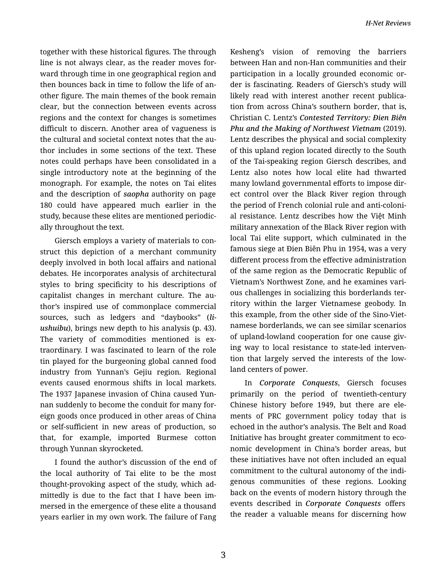together with these historical figures. The through line is not always clear, as the reader moves for‐ ward through time in one geographical region and then bounces back in time to follow the life of an‐ other figure. The main themes of the book remain clear, but the connection between events across regions and the context for changes is sometimes difficult to discern. Another area of vagueness is the cultural and societal context notes that the au‐ thor includes in some sections of the text. These notes could perhaps have been consolidated in a single introductory note at the beginning of the monograph. For example, the notes on Tai elites and the description of *saopha* authority on page 180 could have appeared much earlier in the study, because these elites are mentioned periodic‐ ally throughout the text.

Giersch employs a variety of materials to con‐ struct this depiction of a merchant community deeply involved in both local affairs and national debates. He incorporates analysis of architectural styles to bring specificity to his descriptions of capitalist changes in merchant culture. The au‐ thor's inspired use of commonplace commercial sources, such as ledgers and "daybooks" (*li‐ ushuibu*), brings new depth to his analysis (p. 43). The variety of commodities mentioned is extraordinary. I was fascinated to learn of the role tin played for the burgeoning global canned food industry from Yunnan's Gejiu region. Regional events caused enormous shifts in local markets. The 1937 Japanese invasion of China caused Yun‐ nan suddenly to become the conduit for many for‐ eign goods once produced in other areas of China or self-sufficient in new areas of production, so that, for example, imported Burmese cotton through Yunnan skyrocketed.

I found the author's discussion of the end of the local authority of Tai elite to be the most thought-provoking aspect of the study, which ad‐ mittedly is due to the fact that I have been im‐ mersed in the emergence of these elite a thousand years earlier in my own work. The failure of Fang

Kesheng's vision of removing the barriers between Han and non-Han communities and their participation in a locally grounded economic or‐ der is fascinating. Readers of Giersch's study will likely read with interest another recent publication from across China's southern border, that is, Christian C. Lentz's *Contested Territory: Ðien Biên Phu and the Making of Northwest Vietnam* (2019). Lentz describes the physical and social complexity of this upland region located directly to the South of the Tai-speaking region Giersch describes, and Lentz also notes how local elite had thwarted many lowland governmental efforts to impose dir‐ ect control over the Black River region through the period of French colonial rule and anti-coloni‐ al resistance. Lentz describes how the Việt Minh military annexation of the Black River region with local Tai elite support, which culminated in the famous siege at Ðien Biên Phu in 1954, was a very different process from the effective administration of the same region as the Democratic Republic of Vietnam's Northwest Zone, and he examines vari‐ ous challenges in socializing this borderlands ter‐ ritory within the larger Vietnamese geobody. In this example, from the other side of the Sino-Viet‐ namese borderlands, we can see similar scenarios of upland-lowland cooperation for one cause giv‐ ing way to local resistance to state-led interven‐ tion that largely served the interests of the low‐ land centers of power.

In *Corporate Conquests*, Giersch focuses primarily on the period of twentieth-century Chinese history before 1949, but there are ele‐ ments of PRC government policy today that is echoed in the author's analysis. The Belt and Road Initiative has brought greater commitment to eco‐ nomic development in China's border areas, but these initiatives have not often included an equal commitment to the cultural autonomy of the indi‐ genous communities of these regions. Looking back on the events of modern history through the events described in *Corporate Conquests* offers the reader a valuable means for discerning how